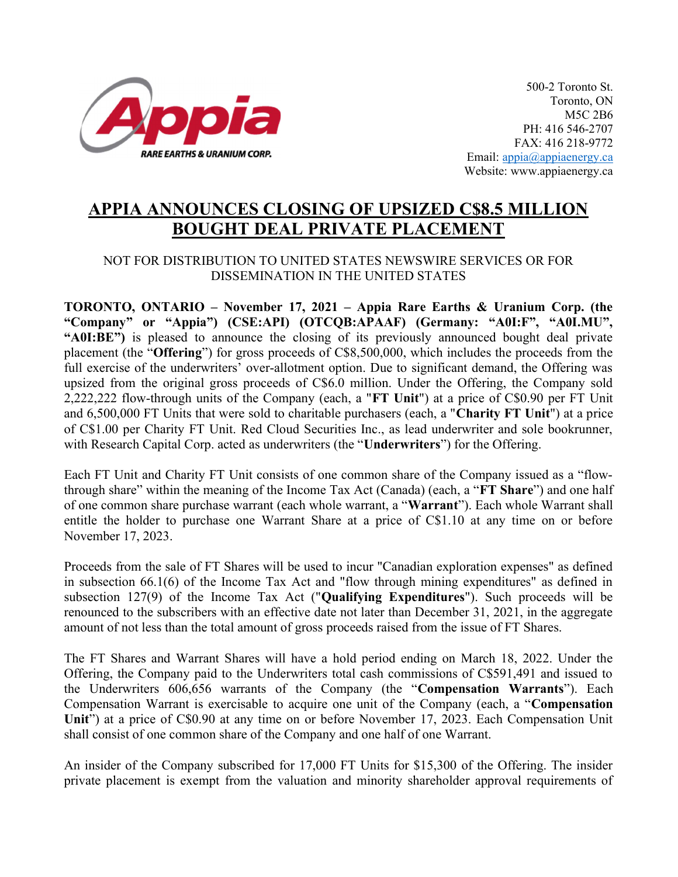

500-2 Toronto St. Toronto, ON M5C 2B6 PH: 416 546-2707 FAX: 416 218-9772 Email: appia@appiaenergy.ca Website: www.appiaenergy.ca

## APPIA ANNOUNCES CLOSING OF UPSIZED C\$8.5 MILLION BOUGHT DEAL PRIVATE PLACEMENT

## NOT FOR DISTRIBUTION TO UNITED STATES NEWSWIRE SERVICES OR FOR DISSEMINATION IN THE UNITED STATES

TORONTO, ONTARIO – November 17, 2021 – Appia Rare Earths & Uranium Corp. (the "Company" or "Appia") (CSE:API) (OTCQB:APAAF) (Germany: "A0I:F", "A0I.MU", "A0I:BE") is pleased to announce the closing of its previously announced bought deal private placement (the "Offering") for gross proceeds of C\$8,500,000, which includes the proceeds from the full exercise of the underwriters' over-allotment option. Due to significant demand, the Offering was upsized from the original gross proceeds of C\$6.0 million. Under the Offering, the Company sold 2,222,222 flow-through units of the Company (each, a "FT Unit") at a price of C\$0.90 per FT Unit and 6,500,000 FT Units that were sold to charitable purchasers (each, a "Charity FT Unit") at a price of C\$1.00 per Charity FT Unit. Red Cloud Securities Inc., as lead underwriter and sole bookrunner, with Research Capital Corp. acted as underwriters (the "Underwriters") for the Offering.

Each FT Unit and Charity FT Unit consists of one common share of the Company issued as a "flowthrough share" within the meaning of the Income Tax Act (Canada) (each, a "FT Share") and one half of one common share purchase warrant (each whole warrant, a "Warrant"). Each whole Warrant shall entitle the holder to purchase one Warrant Share at a price of C\$1.10 at any time on or before November 17, 2023.

Proceeds from the sale of FT Shares will be used to incur "Canadian exploration expenses" as defined in subsection 66.1(6) of the Income Tax Act and "flow through mining expenditures" as defined in subsection 127(9) of the Income Tax Act ("Qualifying Expenditures"). Such proceeds will be renounced to the subscribers with an effective date not later than December 31, 2021, in the aggregate amount of not less than the total amount of gross proceeds raised from the issue of FT Shares.

The FT Shares and Warrant Shares will have a hold period ending on March 18, 2022. Under the Offering, the Company paid to the Underwriters total cash commissions of C\$591,491 and issued to the Underwriters 606,656 warrants of the Company (the "Compensation Warrants"). Each Compensation Warrant is exercisable to acquire one unit of the Company (each, a "Compensation Unit") at a price of C\$0.90 at any time on or before November 17, 2023. Each Compensation Unit shall consist of one common share of the Company and one half of one Warrant.

An insider of the Company subscribed for 17,000 FT Units for \$15,300 of the Offering. The insider private placement is exempt from the valuation and minority shareholder approval requirements of